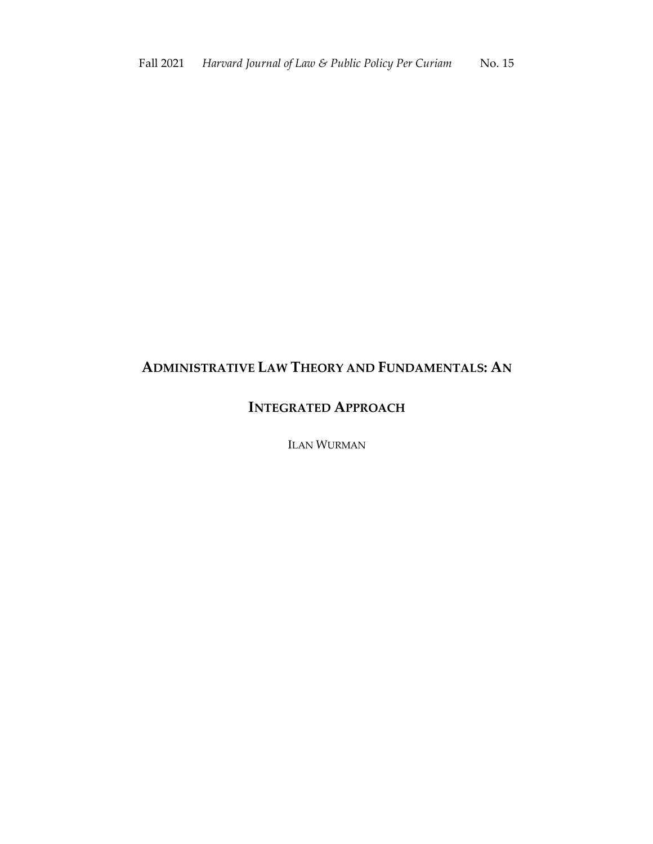# **ADMINISTRATIVE LAW THEORY AND FUNDAMENTALS: AN**

## **INTEGRATED APPROACH**

ILAN WURMAN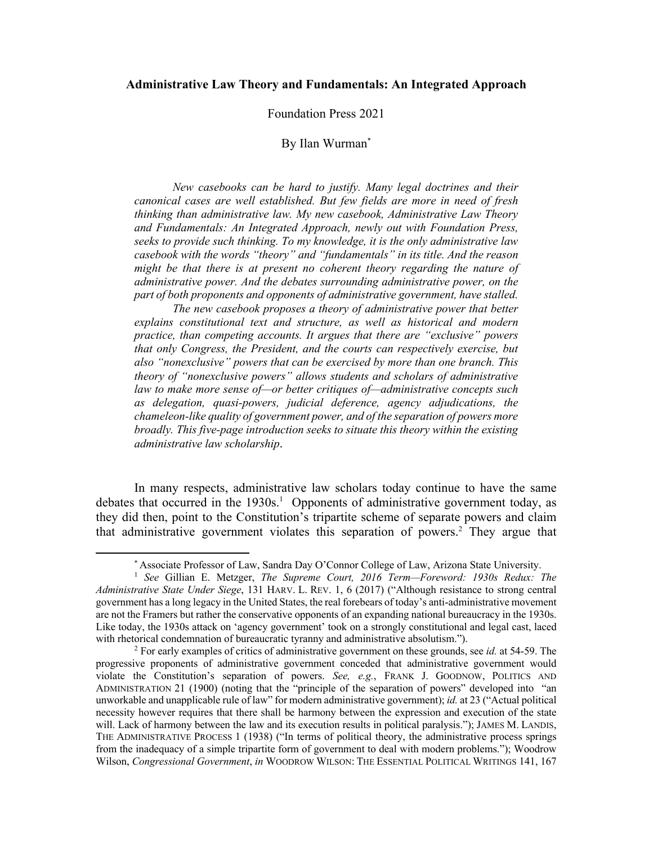### **Administrative Law Theory and Fundamentals: An Integrated Approach**

#### Foundation Press 2021

### By Ilan Wurman\*

*New casebooks can be hard to justify. Many legal doctrines and their canonical cases are well established. But few fields are more in need of fresh thinking than administrative law. My new casebook, Administrative Law Theory and Fundamentals: An Integrated Approach, newly out with Foundation Press, seeks to provide such thinking. To my knowledge, it is the only administrative law casebook with the words "theory" and "fundamentals" in its title. And the reason*  might be that there is at present no coherent theory regarding the nature of *administrative power. And the debates surrounding administrative power, on the part of both proponents and opponents of administrative government, have stalled.* 

*The new casebook proposes a theory of administrative power that better explains constitutional text and structure, as well as historical and modern practice, than competing accounts. It argues that there are "exclusive" powers that only Congress, the President, and the courts can respectively exercise, but also "nonexclusive" powers that can be exercised by more than one branch. This theory of "nonexclusive powers" allows students and scholars of administrative law to make more sense of—or better critiques of—administrative concepts such as delegation, quasi-powers, judicial deference, agency adjudications, the chameleon-like quality of government power, and of the separation of powers more broadly. This five-page introduction seeks to situate this theory within the existing administrative law scholarship*.

In many respects, administrative law scholars today continue to have the same debates that occurred in the  $1930s<sup>1</sup>$  Opponents of administrative government today, as they did then, point to the Constitution's tripartite scheme of separate powers and claim that administrative government violates this separation of powers.<sup>2</sup> They argue that

<sup>\*</sup> Associate Professor of Law, Sandra Day O'Connor College of Law, Arizona State University.

<sup>1</sup> *See* Gillian E. Metzger, *The Supreme Court, 2016 Term—Foreword: 1930s Redux: The Administrative State Under Siege*, 131 HARV. L. REV. 1, 6 (2017) ("Although resistance to strong central government has a long legacy in the United States, the real forebears of today's anti-administrative movement are not the Framers but rather the conservative opponents of an expanding national bureaucracy in the 1930s. Like today, the 1930s attack on 'agency government' took on a strongly constitutional and legal cast, laced with rhetorical condemnation of bureaucratic tyranny and administrative absolutism.").

<sup>2</sup> For early examples of critics of administrative government on these grounds, see *id.* at 54-59. The progressive proponents of administrative government conceded that administrative government would violate the Constitution's separation of powers. *See, e.g.*, FRANK J. GOODNOW, POLITICS AND ADMINISTRATION 21 (1900) (noting that the "principle of the separation of powers" developed into "an unworkable and unapplicable rule of law" for modern administrative government); *id.* at 23 ("Actual political necessity however requires that there shall be harmony between the expression and execution of the state will. Lack of harmony between the law and its execution results in political paralysis."); JAMES M. LANDIS, THE ADMINISTRATIVE PROCESS 1 (1938) ("In terms of political theory, the administrative process springs from the inadequacy of a simple tripartite form of government to deal with modern problems."); Woodrow Wilson, *Congressional Government*, *in* WOODROW WILSON: THE ESSENTIAL POLITICAL WRITINGS 141, 167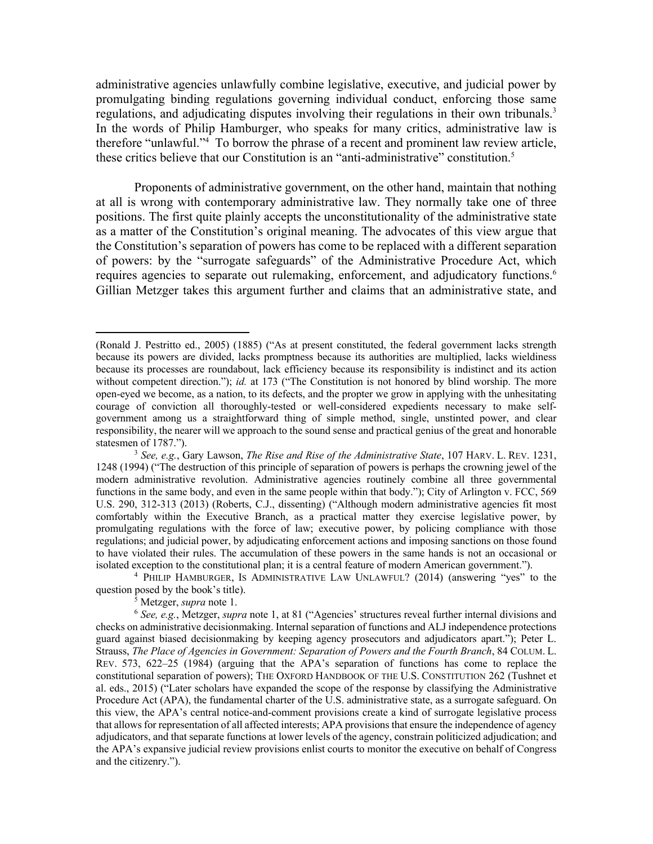administrative agencies unlawfully combine legislative, executive, and judicial power by promulgating binding regulations governing individual conduct, enforcing those same regulations, and adjudicating disputes involving their regulations in their own tribunals.<sup>3</sup> In the words of Philip Hamburger, who speaks for many critics, administrative law is therefore "unlawful."4 To borrow the phrase of a recent and prominent law review article, these critics believe that our Constitution is an "anti-administrative" constitution.<sup>5</sup>

Proponents of administrative government, on the other hand, maintain that nothing at all is wrong with contemporary administrative law. They normally take one of three positions. The first quite plainly accepts the unconstitutionality of the administrative state as a matter of the Constitution's original meaning. The advocates of this view argue that the Constitution's separation of powers has come to be replaced with a different separation of powers: by the "surrogate safeguards" of the Administrative Procedure Act, which requires agencies to separate out rulemaking, enforcement, and adjudicatory functions.<sup>6</sup> Gillian Metzger takes this argument further and claims that an administrative state, and

question posed by the book's title). 5 Metzger, *supra* note 1.

<sup>(</sup>Ronald J. Pestritto ed., 2005) (1885) ("As at present constituted, the federal government lacks strength because its powers are divided, lacks promptness because its authorities are multiplied, lacks wieldiness because its processes are roundabout, lack efficiency because its responsibility is indistinct and its action without competent direction."); *id.* at 173 ("The Constitution is not honored by blind worship. The more open-eyed we become, as a nation, to its defects, and the propter we grow in applying with the unhesitating courage of conviction all thoroughly-tested or well-considered expedients necessary to make selfgovernment among us a straightforward thing of simple method, single, unstinted power, and clear responsibility, the nearer will we approach to the sound sense and practical genius of the great and honorable statesmen of 1787."). 3 *See, e.g.*, Gary Lawson, *The Rise and Rise of the Administrative State*, 107 HARV. L. REV. 1231,

<sup>1248 (1994) (&</sup>quot;The destruction of this principle of separation of powers is perhaps the crowning jewel of the modern administrative revolution. Administrative agencies routinely combine all three governmental functions in the same body, and even in the same people within that body."); City of Arlington v. FCC, 569 U.S. 290, 312-313 (2013) (Roberts, C.J., dissenting) ("Although modern administrative agencies fit most comfortably within the Executive Branch, as a practical matter they exercise legislative power, by promulgating regulations with the force of law; executive power, by policing compliance with those regulations; and judicial power, by adjudicating enforcement actions and imposing sanctions on those found to have violated their rules. The accumulation of these powers in the same hands is not an occasional or isolated exception to the constitutional plan; it is a central feature of modern American government."). 4 PHILIP HAMBURGER, IS ADMINISTRATIVE LAW UNLAWFUL? (2014) (answering "yes" to the

<sup>6</sup> *See, e.g.*, Metzger, *supra* note 1, at 81 ("Agencies' structures reveal further internal divisions and checks on administrative decisionmaking. Internal separation of functions and ALJ independence protections guard against biased decisionmaking by keeping agency prosecutors and adjudicators apart."); Peter L. Strauss, *The Place of Agencies in Government: Separation of Powers and the Fourth Branch*, 84 COLUM. L. REV. 573, 622–25 (1984) (arguing that the APA's separation of functions has come to replace the constitutional separation of powers); THE OXFORD HANDBOOK OF THE U.S. CONSTITUTION 262 (Tushnet et al. eds., 2015) ("Later scholars have expanded the scope of the response by classifying the Administrative Procedure Act (APA), the fundamental charter of the U.S. administrative state, as a surrogate safeguard. On this view, the APA's central notice-and-comment provisions create a kind of surrogate legislative process that allows for representation of all affected interests; APA provisions that ensure the independence of agency adjudicators, and that separate functions at lower levels of the agency, constrain politicized adjudication; and the APA's expansive judicial review provisions enlist courts to monitor the executive on behalf of Congress and the citizenry.").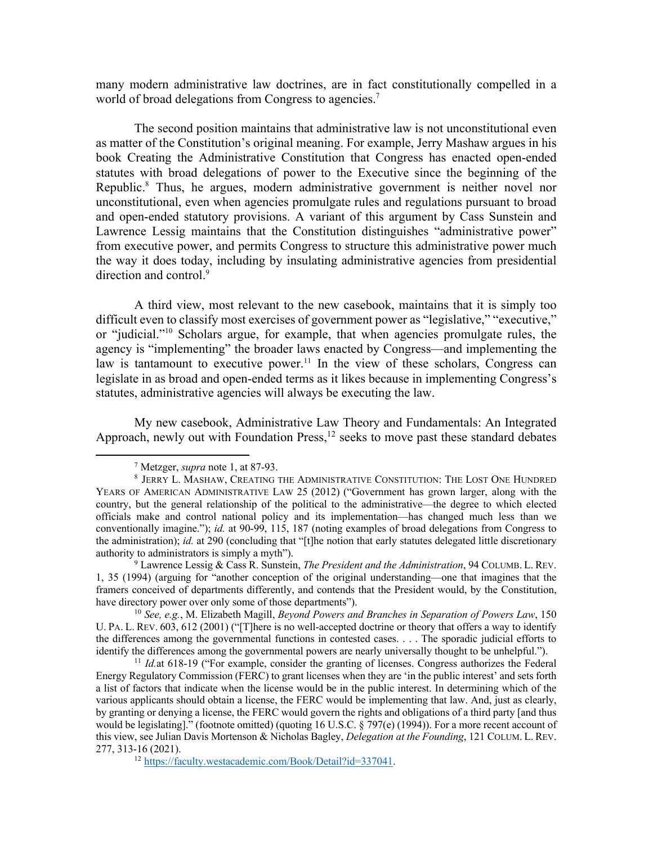many modern administrative law doctrines, are in fact constitutionally compelled in a world of broad delegations from Congress to agencies.<sup>7</sup>

The second position maintains that administrative law is not unconstitutional even as matter of the Constitution's original meaning. For example, Jerry Mashaw argues in his book Creating the Administrative Constitution that Congress has enacted open-ended statutes with broad delegations of power to the Executive since the beginning of the Republic.<sup>8</sup> Thus, he argues, modern administrative government is neither novel nor unconstitutional, even when agencies promulgate rules and regulations pursuant to broad and open-ended statutory provisions. A variant of this argument by Cass Sunstein and Lawrence Lessig maintains that the Constitution distinguishes "administrative power" from executive power, and permits Congress to structure this administrative power much the way it does today, including by insulating administrative agencies from presidential direction and control.<sup>9</sup>

A third view, most relevant to the new casebook, maintains that it is simply too difficult even to classify most exercises of government power as "legislative," "executive," or "judicial."10 Scholars argue, for example, that when agencies promulgate rules, the agency is "implementing" the broader laws enacted by Congress—and implementing the law is tantamount to executive power.<sup>11</sup> In the view of these scholars, Congress can legislate in as broad and open-ended terms as it likes because in implementing Congress's statutes, administrative agencies will always be executing the law.

My new casebook, Administrative Law Theory and Fundamentals: An Integrated Approach, newly out with Foundation Press,<sup>12</sup> seeks to move past these standard debates

<sup>9</sup> Lawrence Lessig & Cass R. Sunstein, *The President and the Administration*, 94 COLUMB. L. REV. 1, 35 (1994) (arguing for "another conception of the original understanding—one that imagines that the framers conceived of departments differently, and contends that the President would, by the Constitution, have directory power over only some of those departments"). 10 *See, e.g.*, M. Elizabeth Magill, *Beyond Powers and Branches in Separation of Powers Law*, 150

U. PA. L. REV. 603, 612 (2001) ("[T]here is no well-accepted doctrine or theory that offers a way to identify the differences among the governmental functions in contested cases. . . . The sporadic judicial efforts to identify the differences among the governmental powers are nearly universally thought to be unhelpful.").

<sup>11</sup> *Id.*at 618-19 ("For example, consider the granting of licenses. Congress authorizes the Federal Energy Regulatory Commission (FERC) to grant licenses when they are 'in the public interest' and sets forth a list of factors that indicate when the license would be in the public interest. In determining which of the various applicants should obtain a license, the FERC would be implementing that law. And, just as clearly, by granting or denying a license, the FERC would govern the rights and obligations of a third party [and thus would be legislating]." (footnote omitted) (quoting 16 U.S.C. § 797(e) (1994)). For a more recent account of this view, see Julian Davis Mortenson & Nicholas Bagley, *Delegation at the Founding*, 121 COLUM. L. REV. 277, 313-16 (2021).

<sup>12</sup> https://faculty.westacademic.com/Book/Detail?id=337041.

<sup>7</sup> Metzger, *supra* note 1, at 87-93.

<sup>8</sup> JERRY L. MASHAW, CREATING THE ADMINISTRATIVE CONSTITUTION: THE LOST ONE HUNDRED YEARS OF AMERICAN ADMINISTRATIVE LAW 25 (2012) ("Government has grown larger, along with the country, but the general relationship of the political to the administrative—the degree to which elected officials make and control national policy and its implementation—has changed much less than we conventionally imagine."); *id.* at 90-99, 115, 187 (noting examples of broad delegations from Congress to the administration); *id.* at 290 (concluding that "[t]he notion that early statutes delegated little discretionary authority to administrators is simply a myth").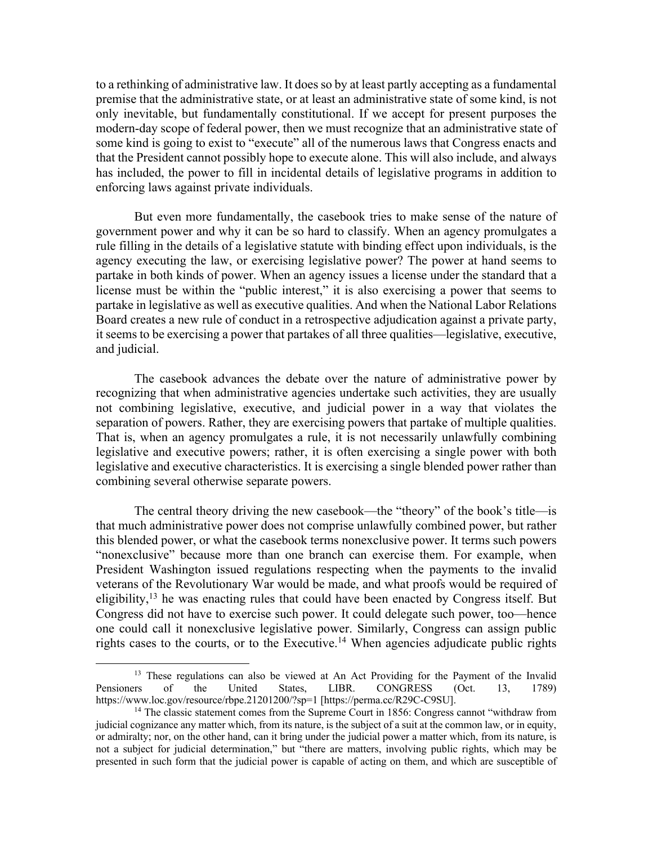to a rethinking of administrative law. It does so by at least partly accepting as a fundamental premise that the administrative state, or at least an administrative state of some kind, is not only inevitable, but fundamentally constitutional. If we accept for present purposes the modern-day scope of federal power, then we must recognize that an administrative state of some kind is going to exist to "execute" all of the numerous laws that Congress enacts and that the President cannot possibly hope to execute alone. This will also include, and always has included, the power to fill in incidental details of legislative programs in addition to enforcing laws against private individuals.

But even more fundamentally, the casebook tries to make sense of the nature of government power and why it can be so hard to classify. When an agency promulgates a rule filling in the details of a legislative statute with binding effect upon individuals, is the agency executing the law, or exercising legislative power? The power at hand seems to partake in both kinds of power. When an agency issues a license under the standard that a license must be within the "public interest," it is also exercising a power that seems to partake in legislative as well as executive qualities. And when the National Labor Relations Board creates a new rule of conduct in a retrospective adjudication against a private party, it seems to be exercising a power that partakes of all three qualities—legislative, executive, and judicial.

The casebook advances the debate over the nature of administrative power by recognizing that when administrative agencies undertake such activities, they are usually not combining legislative, executive, and judicial power in a way that violates the separation of powers. Rather, they are exercising powers that partake of multiple qualities. That is, when an agency promulgates a rule, it is not necessarily unlawfully combining legislative and executive powers; rather, it is often exercising a single power with both legislative and executive characteristics. It is exercising a single blended power rather than combining several otherwise separate powers.

The central theory driving the new casebook—the "theory" of the book's title—is that much administrative power does not comprise unlawfully combined power, but rather this blended power, or what the casebook terms nonexclusive power. It terms such powers "nonexclusive" because more than one branch can exercise them. For example, when President Washington issued regulations respecting when the payments to the invalid veterans of the Revolutionary War would be made, and what proofs would be required of eligibility,  $13$  he was enacting rules that could have been enacted by Congress itself. But Congress did not have to exercise such power. It could delegate such power, too—hence one could call it nonexclusive legislative power. Similarly, Congress can assign public rights cases to the courts, or to the Executive.<sup>14</sup> When agencies adjudicate public rights

<sup>&</sup>lt;sup>13</sup> These regulations can also be viewed at An Act Providing for the Payment of the Invalid Pensioners of the United States, LIBR. CONGRESS (Oct. 13, 1789) https://www.loc.gov/resource/rbpe.21201200/?sp=1 [https://perma.cc/R29C-C9SU].

<sup>&</sup>lt;sup>14</sup> The classic statement comes from the Supreme Court in 1856: Congress cannot "withdraw from judicial cognizance any matter which, from its nature, is the subject of a suit at the common law, or in equity, or admiralty; nor, on the other hand, can it bring under the judicial power a matter which, from its nature, is not a subject for judicial determination," but "there are matters, involving public rights, which may be presented in such form that the judicial power is capable of acting on them, and which are susceptible of